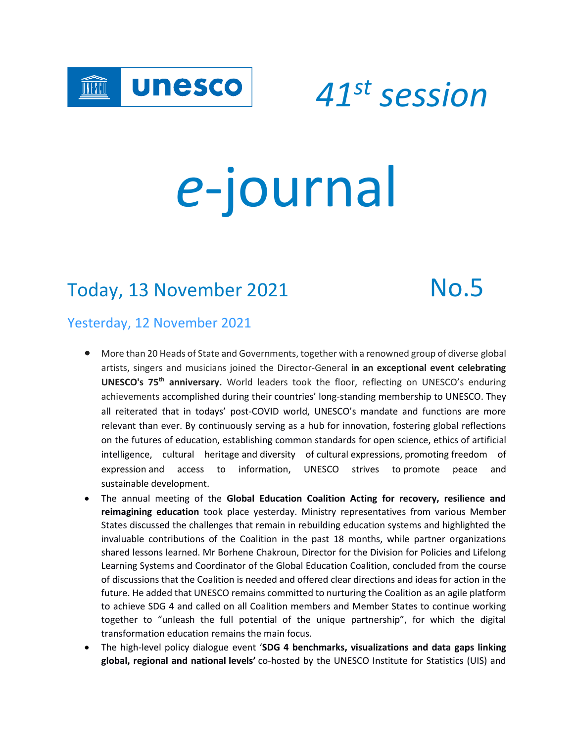

 *<sup>41</sup>st session*

# *e*-journal

# Today, 13 November 2021 Mo.5

### Yesterday, 12 November 2021

- More than 20 Heads of State and Governments, together with a renowned group of diverse global artists, singers and musicians joined the Director-General **in an exceptional event celebrating UNESCO's 75th anniversary.** World leaders took the floor, reflecting on UNESCO's enduring achievements accomplished during their countries' long-standing membership to UNESCO. They all reiterated that in todays' post-COVID world, UNESCO's mandate and functions are more relevant than ever. By continuously serving as a hub for innovation, fostering global reflections on the futures of education, establishing common standards for open science, ethics of artificial intelligence, cultural heritage and diversity of cultural expressions, promoting freedom of expression and access to information, UNESCO strives to promote peace and sustainable development.
- The annual meeting of the **Global Education Coalition Acting for recovery, resilience and reimagining education** took place yesterday. Ministry representatives from various Member States discussed the challenges that remain in rebuilding education systems and highlighted the invaluable contributions of the Coalition in the past 18 months, while partner organizations shared lessons learned. Mr Borhene Chakroun, Director for the Division for Policies and Lifelong Learning Systems and Coordinator of the Global Education Coalition, concluded from the course of discussions that the Coalition is needed and offered clear directions and ideas for action in the future. He added that UNESCO remains committed to nurturing the Coalition as an agile platform to achieve SDG 4 and called on all Coalition members and Member States to continue working together to "unleash the full potential of the unique partnership", for which the digital transformation education remains the main focus.
- The high-level policy dialogue event '**SDG 4 benchmarks, visualizations and data gaps linking global, regional and national levels'** co-hosted by the UNESCO Institute for Statistics (UIS) and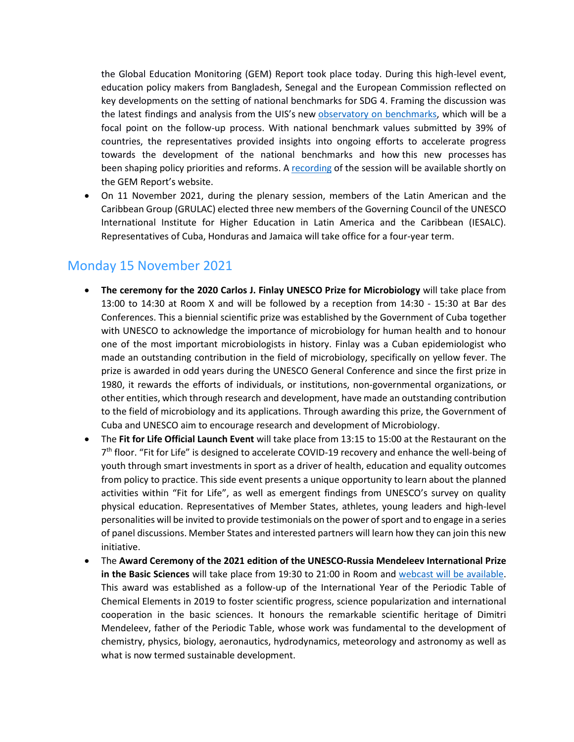the Global Education Monitoring (GEM) Report took place today. During this high-level event, education policy makers from Bangladesh, Senegal and the European Commission reflected on key developments on the setting of national benchmarks for SDG 4. Framing the discussion was the latest findings and analysis from the UIS's new [observatory on benchmarks,](https://geo.uis.unesco.org/sdg-benchmarks) which will be a focal point on the follow-up process. With national benchmark values submitted by 39% of countries, the representatives provided insights into ongoing efforts to accelerate progress towards the development of the national benchmarks and how this new processes has been shaping policy priorities and reforms. A [recording](https://en.unesco.org/gem-report/events/2021/sdg-4-benchmarks-visualizations-and-data-gaps-linking-global-regional-and-national-0) of the session will be available shortly on the GEM Report's website.

• On 11 November 2021, during the plenary session, members of the Latin American and the Caribbean Group (GRULAC) elected three new members of the Governing Council of the UNESCO International Institute for Higher Education in Latin America and the Caribbean (IESALC). Representatives of Cuba, Honduras and Jamaica will take office for a four-year term.

#### Monday 15 November 2021

- **The ceremony for the 2020 Carlos J. Finlay UNESCO Prize for Microbiology** will take place from 13:00 to 14:30 at Room X and will be followed by a reception from 14:30 - 15:30 at Bar des Conferences. This a biennial scientific prize was established by the Government of Cuba together with UNESCO to acknowledge the importance of microbiology for human health and to honour one of the most important microbiologists in history. Finlay was a Cuban epidemiologist who made an outstanding contribution in the field of microbiology, specifically on yellow fever. The prize is awarded in odd years during the UNESCO General Conference and since the first prize in 1980, it rewards the efforts of individuals, or institutions, non-governmental organizations, or other entities, which through research and development, have made an outstanding contribution to the field of microbiology and its applications. Through awarding this prize, the Government of Cuba and UNESCO aim to encourage research and development of Microbiology.
- The **Fit for Life Official Launch Event** will take place from 13:15 to 15:00 at the Restaurant on the 7<sup>th</sup> floor. "Fit for Life" is designed to accelerate COVID-19 recovery and enhance the well-being of youth through smart investments in sport as a driver of health, education and equality outcomes from policy to practice. This side event presents a unique opportunity to learn about the planned activities within "Fit for Life", as well as emergent findings from UNESCO's survey on quality physical education. Representatives of Member States, athletes, young leaders and high-level personalities will be invited to provide testimonials on the power of sport and to engage in a series of panel discussions. Member States and interested partners will learn how they can join this new initiative.
- The **Award Ceremony of the 2021 edition of the UNESCO-Russia Mendeleev International Prize in the Basic Sciences** will take place from 19:30 to 21:00 in Room and [webcast will be available.](http://webcast.unesco.org/events/2021-11-Mendeleiev-Prize/) This award was established as a follow-up of the International Year of the Periodic Table of Chemical Elements in 2019 to foster scientific progress, science popularization and international cooperation in the basic sciences. It honours the remarkable scientific heritage of Dimitri Mendeleev, father of the Periodic Table, whose work was fundamental to the development of chemistry, physics, biology, aeronautics, hydrodynamics, meteorology and astronomy as well as what is now termed sustainable development.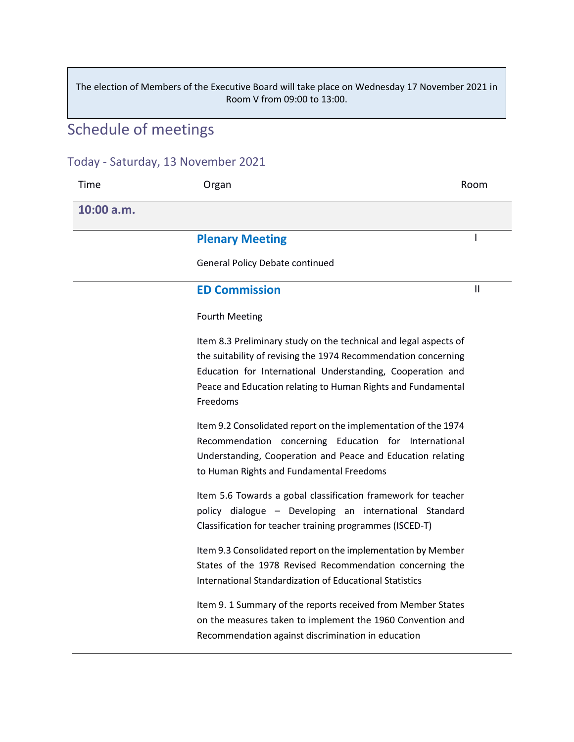The election of Members of the Executive Board will take place on Wednesday 17 November 2021 in Room V from 09:00 to 13:00.

# Schedule of meetings

#### Today - Saturday, 13 November 2021

| Time       | Organ                                                                                                                                                                                                                                                                        | Room         |
|------------|------------------------------------------------------------------------------------------------------------------------------------------------------------------------------------------------------------------------------------------------------------------------------|--------------|
| 10:00 a.m. |                                                                                                                                                                                                                                                                              |              |
|            | <b>Plenary Meeting</b>                                                                                                                                                                                                                                                       |              |
|            | <b>General Policy Debate continued</b>                                                                                                                                                                                                                                       |              |
|            | <b>ED Commission</b>                                                                                                                                                                                                                                                         | $\mathbf{I}$ |
|            | <b>Fourth Meeting</b>                                                                                                                                                                                                                                                        |              |
|            | Item 8.3 Preliminary study on the technical and legal aspects of<br>the suitability of revising the 1974 Recommendation concerning<br>Education for International Understanding, Cooperation and<br>Peace and Education relating to Human Rights and Fundamental<br>Freedoms |              |
|            | Item 9.2 Consolidated report on the implementation of the 1974<br>Recommendation concerning Education for International<br>Understanding, Cooperation and Peace and Education relating<br>to Human Rights and Fundamental Freedoms                                           |              |
|            | Item 5.6 Towards a gobal classification framework for teacher<br>policy dialogue - Developing an international Standard<br>Classification for teacher training programmes (ISCED-T)                                                                                          |              |
|            | Item 9.3 Consolidated report on the implementation by Member<br>States of the 1978 Revised Recommendation concerning the<br>International Standardization of Educational Statistics                                                                                          |              |
|            | Item 9. 1 Summary of the reports received from Member States<br>on the measures taken to implement the 1960 Convention and<br>Recommendation against discrimination in education                                                                                             |              |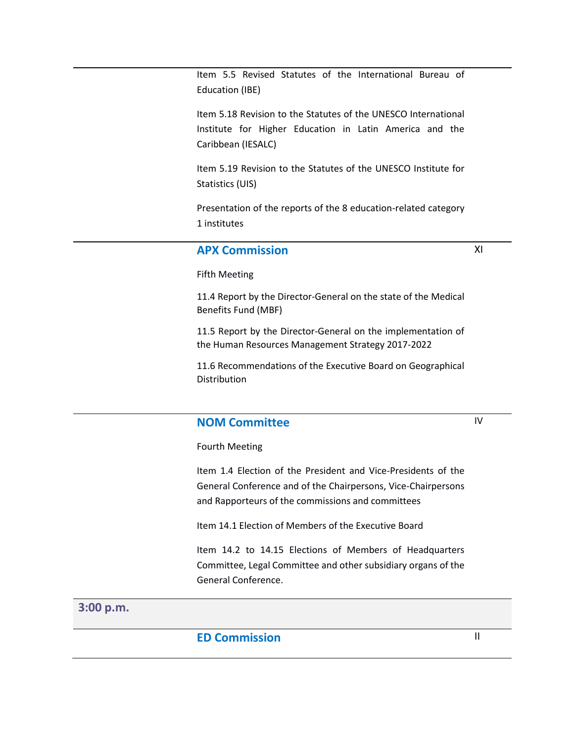Item 5.5 Revised Statutes of the International Bureau of Education (IBE)

Item 5.18 Revision to the Statutes of the UNESCO International Institute for Higher Education in Latin America and the Caribbean (IESALC)

Item 5.19 Revision to the Statutes of the UNESCO Institute for Statistics (UIS)

Presentation of the reports of the 8 education-related category 1 institutes

#### **APX Commission**

XI

Fifth Meeting

11.4 Report by the Director-General on the state of the Medical Benefits Fund (MBF)

11.5 Report by the Director-General on the implementation of the Human Resources Management Strategy 2017-2022

11.6 Recommendations of the Executive Board on Geographical Distribution

#### **NOM Committee**

IV

Fourth Meeting

Item 1.4 Election of the President and Vice-Presidents of the General Conference and of the Chairpersons, Vice-Chairpersons and Rapporteurs of the commissions and committees

Item 14.1 Election of Members of the Executive Board

Item 14.2 to 14.15 Elections of Members of Headquarters Committee, Legal Committee and other subsidiary organs of the General Conference.

#### **3:00 p.m.**

#### **ED Commission** III